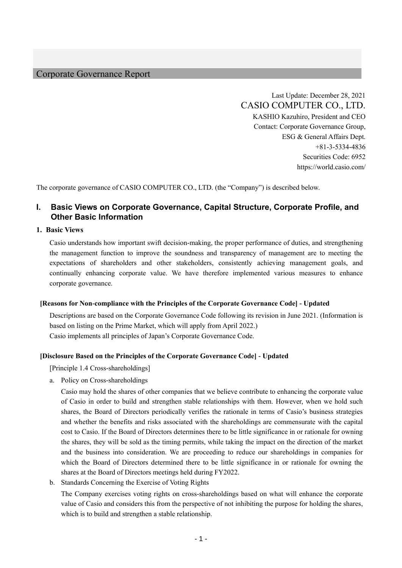### Corporate Governance Report

Last Update: December 28, 2021 CASIO COMPUTER CO., LTD. KASHIO Kazuhiro, President and CEO Contact: Corporate Governance Group, ESG & General Affairs Dept. +81-3-5334-4836 Securities Code: 6952 https://world.casio.com/

The corporate governance of CASIO COMPUTER CO., LTD. (the "Company") is described below.

# **I. Basic Views on Corporate Governance, Capital Structure, Corporate Profile, and Other Basic Information**

#### **1. Basic Views**

Casio understands how important swift decision-making, the proper performance of duties, and strengthening the management function to improve the soundness and transparency of management are to meeting the expectations of shareholders and other stakeholders, consistently achieving management goals, and continually enhancing corporate value. We have therefore implemented various measures to enhance corporate governance.

#### **[Reasons for Non-compliance with the Principles of the Corporate Governance Code] - Updated**

Descriptions are based on the Corporate Governance Code following its revision in June 2021. (Information is based on listing on the Prime Market, which will apply from April 2022.) Casio implements all principles of Japan's Corporate Governance Code.

#### **[Disclosure Based on the Principles of the Corporate Governance Code] - Updated**

[Principle 1.4 Cross-shareholdings]

a. Policy on Cross-shareholdings

Casio may hold the shares of other companies that we believe contribute to enhancing the corporate value of Casio in order to build and strengthen stable relationships with them. However, when we hold such shares, the Board of Directors periodically verifies the rationale in terms of Casio's business strategies and whether the benefits and risks associated with the shareholdings are commensurate with the capital cost to Casio. If the Board of Directors determines there to be little significance in or rationale for owning the shares, they will be sold as the timing permits, while taking the impact on the direction of the market and the business into consideration. We are proceeding to reduce our shareholdings in companies for which the Board of Directors determined there to be little significance in or rationale for owning the shares at the Board of Directors meetings held during FY2022.

b. Standards Concerning the Exercise of Voting Rights

The Company exercises voting rights on cross-shareholdings based on what will enhance the corporate value of Casio and considers this from the perspective of not inhibiting the purpose for holding the shares, which is to build and strengthen a stable relationship.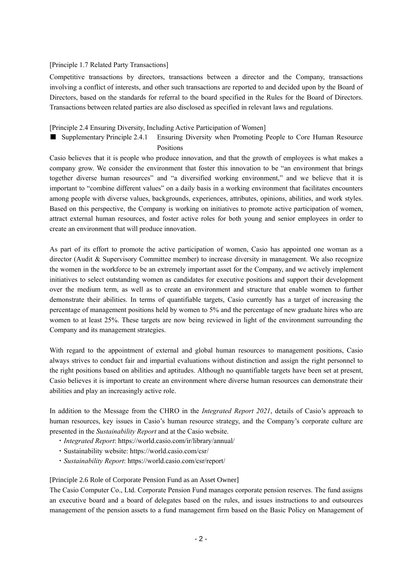#### [Principle 1.7 Related Party Transactions]

Competitive transactions by directors, transactions between a director and the Company, transactions involving a conflict of interests, and other such transactions are reported to and decided upon by the Board of Directors, based on the standards for referral to the board specified in the Rules for the Board of Directors. Transactions between related parties are also disclosed as specified in relevant laws and regulations.

### [Principle 2.4 Ensuring Diversity, Including Active Participation of Women]

■ Supplementary Principle 2.4.1 Ensuring Diversity when Promoting People to Core Human Resource Positions

Casio believes that it is people who produce innovation, and that the growth of employees is what makes a company grow. We consider the environment that foster this innovation to be "an environment that brings together diverse human resources" and "a diversified working environment," and we believe that it is important to "combine different values" on a daily basis in a working environment that facilitates encounters among people with diverse values, backgrounds, experiences, attributes, opinions, abilities, and work styles. Based on this perspective, the Company is working on initiatives to promote active participation of women, attract external human resources, and foster active roles for both young and senior employees in order to create an environment that will produce innovation.

As part of its effort to promote the active participation of women, Casio has appointed one woman as a director (Audit & Supervisory Committee member) to increase diversity in management. We also recognize the women in the workforce to be an extremely important asset for the Company, and we actively implement initiatives to select outstanding women as candidates for executive positions and support their development over the medium term, as well as to create an environment and structure that enable women to further demonstrate their abilities. In terms of quantifiable targets, Casio currently has a target of increasing the percentage of management positions held by women to 5% and the percentage of new graduate hires who are women to at least 25%. These targets are now being reviewed in light of the environment surrounding the Company and its management strategies.

With regard to the appointment of external and global human resources to management positions, Casio always strives to conduct fair and impartial evaluations without distinction and assign the right personnel to the right positions based on abilities and aptitudes. Although no quantifiable targets have been set at present, Casio believes it is important to create an environment where diverse human resources can demonstrate their abilities and play an increasingly active role.

In addition to the Message from the CHRO in the *Integrated Report 2021*, details of Casio's approach to human resources, key issues in Casio's human resource strategy, and the Company's corporate culture are presented in the *Sustainability Report* and at the Casio website.

- ・*Integrated Report*: https://world.casio.com/ir/library/annual/
- ・Sustainability website: https://world.casio.com/csr/
- ・*Sustainability Report*: https://world.casio.com/csr/report/

#### [Principle 2.6 Role of Corporate Pension Fund as an Asset Owner]

The Casio Computer Co., Ltd. Corporate Pension Fund manages corporate pension reserves. The fund assigns an executive board and a board of delegates based on the rules, and issues instructions to and outsources management of the pension assets to a fund management firm based on the Basic Policy on Management of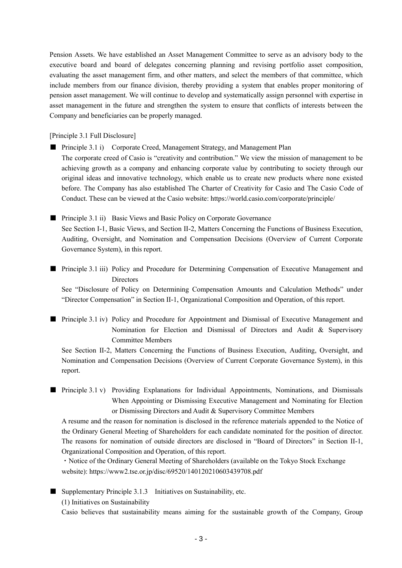Pension Assets. We have established an Asset Management Committee to serve as an advisory body to the executive board and board of delegates concerning planning and revising portfolio asset composition, evaluating the asset management firm, and other matters, and select the members of that committee, which include members from our finance division, thereby providing a system that enables proper monitoring of pension asset management. We will continue to develop and systematically assign personnel with expertise in asset management in the future and strengthen the system to ensure that conflicts of interests between the Company and beneficiaries can be properly managed.

[Principle 3.1 Full Disclosure]

■ Principle 3.1 i) Corporate Creed, Management Strategy, and Management Plan The corporate creed of Casio is "creativity and contribution." We view the mission of management to be achieving growth as a company and enhancing corporate value by contributing to society through our original ideas and innovative technology, which enable us to create new products where none existed before. The Company has also established The Charter of Creativity for Casio and The Casio Code of Conduct. These can be viewed at the Casio website: https://world.casio.com/corporate/principle/

■ Principle 3.1 ii) Basic Views and Basic Policy on Corporate Governance See Section I-1, Basic Views, and Section II-2, Matters Concerning the Functions of Business Execution, Auditing, Oversight, and Nomination and Compensation Decisions (Overview of Current Corporate Governance System), in this report.

■ Principle 3.1 iii) Policy and Procedure for Determining Compensation of Executive Management and **Directors** 

See "Disclosure of Policy on Determining Compensation Amounts and Calculation Methods" under "Director Compensation" in Section II-1, Organizational Composition and Operation, of this report.

■ Principle 3.1 iv) Policy and Procedure for Appointment and Dismissal of Executive Management and Nomination for Election and Dismissal of Directors and Audit & Supervisory Committee Members

See Section II-2, Matters Concerning the Functions of Business Execution, Auditing, Oversight, and Nomination and Compensation Decisions (Overview of Current Corporate Governance System), in this report.

■ Principle 3.1 v) Providing Explanations for Individual Appointments, Nominations, and Dismissals When Appointing or Dismissing Executive Management and Nominating for Election or Dismissing Directors and Audit & Supervisory Committee Members

A resume and the reason for nomination is disclosed in the reference materials appended to the Notice of the Ordinary General Meeting of Shareholders for each candidate nominated for the position of director. The reasons for nomination of outside directors are disclosed in "Board of Directors" in Section II-1, Organizational Composition and Operation, of this report.

・Notice of the Ordinary General Meeting of Shareholders (available on the Tokyo Stock Exchange website): https://www2.tse.or.jp/disc/69520/140120210603439708.pdf

 $\blacksquare$  Supplementary Principle 3.1.3 Initiatives on Sustainability, etc.

(1) Initiatives on Sustainability

Casio believes that sustainability means aiming for the sustainable growth of the Company, Group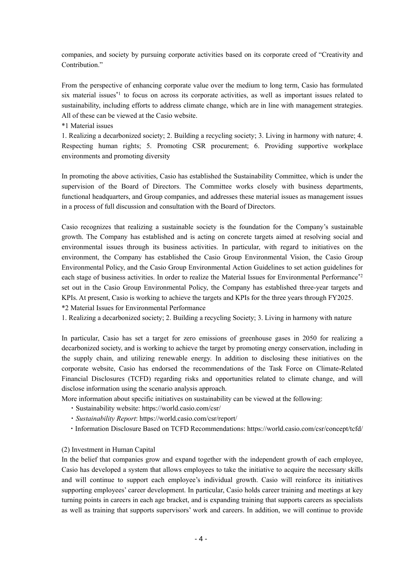companies, and society by pursuing corporate activities based on its corporate creed of "Creativity and Contribution."

From the perspective of enhancing corporate value over the medium to long term, Casio has formulated six material issues<sup>\*1</sup> to focus on across its corporate activities, as well as important issues related to sustainability, including efforts to address climate change, which are in line with management strategies. All of these can be viewed at the Casio website.

\*1 Material issues

1. Realizing a decarbonized society; 2. Building a recycling society; 3. Living in harmony with nature; 4. Respecting human rights; 5. Promoting CSR procurement; 6. Providing supportive workplace environments and promoting diversity

In promoting the above activities, Casio has established the Sustainability Committee, which is under the supervision of the Board of Directors. The Committee works closely with business departments, functional headquarters, and Group companies, and addresses these material issues as management issues in a process of full discussion and consultation with the Board of Directors.

Casio recognizes that realizing a sustainable society is the foundation for the Company's sustainable growth. The Company has established and is acting on concrete targets aimed at resolving social and environmental issues through its business activities. In particular, with regard to initiatives on the environment, the Company has established the Casio Group Environmental Vision, the Casio Group Environmental Policy, and the Casio Group Environmental Action Guidelines to set action guidelines for each stage of business activities. In order to realize the Material Issues for Environmental Performance<sup>\*2</sup> set out in the Casio Group Environmental Policy, the Company has established three-year targets and KPIs. At present, Casio is working to achieve the targets and KPIs for the three years through FY2025. \*2 Material Issues for Environmental Performance

1. Realizing a decarbonized society; 2. Building a recycling Society; 3. Living in harmony with nature

In particular, Casio has set a target for zero emissions of greenhouse gases in 2050 for realizing a decarbonized society, and is working to achieve the target by promoting energy conservation, including in the supply chain, and utilizing renewable energy. In addition to disclosing these initiatives on the corporate website, Casio has endorsed the recommendations of the Task Force on Climate-Related Financial Disclosures (TCFD) regarding risks and opportunities related to climate change, and will disclose information using the scenario analysis approach.

More information about specific initiatives on sustainability can be viewed at the following:

- ・Sustainability website: https://world.casio.com/csr/
- ・*Sustainability Report*[: https://world.casio.com/csr/report/](https://world.casio.com/csr/report/)
- ・Information Disclosure Based on TCFD Recommendations: https://world.casio.com/csr/concept/tcfd/

#### (2) Investment in Human Capital

In the belief that companies grow and expand together with the independent growth of each employee, Casio has developed a system that allows employees to take the initiative to acquire the necessary skills and will continue to support each employee's individual growth. Casio will reinforce its initiatives supporting employees' career development. In particular, Casio holds career training and meetings at key turning points in careers in each age bracket, and is expanding training that supports careers as specialists as well as training that supports supervisors' work and careers. In addition, we will continue to provide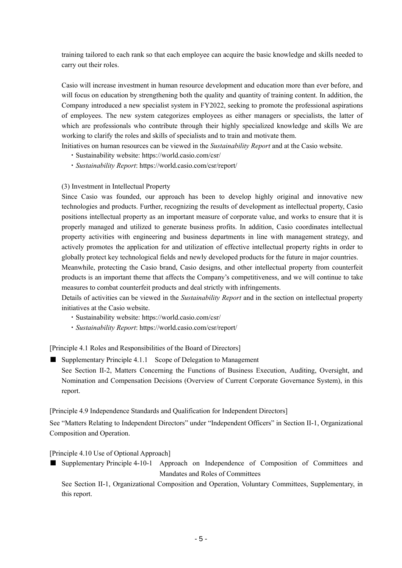training tailored to each rank so that each employee can acquire the basic knowledge and skills needed to carry out their roles.

Casio will increase investment in human resource development and education more than ever before, and will focus on education by strengthening both the quality and quantity of training content. In addition, the Company introduced a new specialist system in FY2022, seeking to promote the professional aspirations of employees. The new system categorizes employees as either managers or specialists, the latter of which are professionals who contribute through their highly specialized knowledge and skills We are working to clarify the roles and skills of specialists and to train and motivate them.

Initiatives on human resources can be viewed in the *Sustainability Report* and at the Casio website.

- ・Sustainability website: https://world.casio.com/csr/
- ・*Sustainability Report*[: https://world.casio.com/csr/report/](https://world.casio.com/csr/report/)

#### (3) Investment in Intellectual Property

Since Casio was founded, our approach has been to develop highly original and innovative new technologies and products. Further, recognizing the results of development as intellectual property, Casio positions intellectual property as an important measure of corporate value, and works to ensure that it is properly managed and utilized to generate business profits. In addition, Casio coordinates intellectual property activities with engineering and business departments in line with management strategy, and actively promotes the application for and utilization of effective intellectual property rights in order to globally protect key technological fields and newly developed products for the future in major countries.

Meanwhile, protecting the Casio brand, Casio designs, and other intellectual property from counterfeit products is an important theme that affects the Company's competitiveness, and we will continue to take measures to combat counterfeit products and deal strictly with infringements.

Details of activities can be viewed in the *Sustainability Report* and in the section on intellectual property initiatives at the Casio website.

- ・Sustainability website: https://world.casio.com/csr/
- ・*Sustainability Report*: <https://world.casio.com/csr/report/>

[Principle 4.1 Roles and Responsibilities of the Board of Directors]

■ Supplementary Principle 4.1.1 Scope of Delegation to Management

See Section II-2, Matters Concerning the Functions of Business Execution, Auditing, Oversight, and Nomination and Compensation Decisions (Overview of Current Corporate Governance System), in this report.

[Principle 4.9 Independence Standards and Qualification for Independent Directors]

See "Matters Relating to Independent Directors" under "Independent Officers" in Section II-1, Organizational Composition and Operation.

[Principle 4.10 Use of Optional Approach]

■ Supplementary Principle 4-10-1 Approach on Independence of Composition of Committees and Mandates and Roles of Committees

See Section II-1, Organizational Composition and Operation, Voluntary Committees, Supplementary, in this report.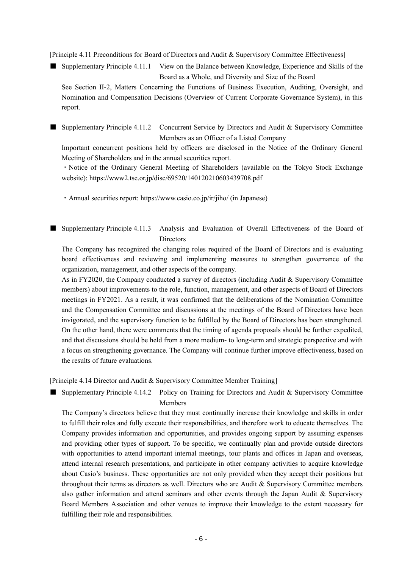[Principle 4.11 Preconditions for Board of Directors and Audit & Supervisory Committee Effectiveness]

■ Supplementary Principle 4.11.1 View on the Balance between Knowledge, Experience and Skills of the Board as a Whole, and Diversity and Size of the Board

See Section II-2, Matters Concerning the Functions of Business Execution, Auditing, Oversight, and Nomination and Compensation Decisions (Overview of Current Corporate Governance System), in this report.

■ Supplementary Principle 4.11.2 Concurrent Service by Directors and Audit & Supervisory Committee Members as an Officer of a Listed Company

Important concurrent positions held by officers are disclosed in the Notice of the Ordinary General Meeting of Shareholders and in the annual securities report.

・Notice of the Ordinary General Meeting of Shareholders (available on the Tokyo Stock Exchange website): https://www2.tse.or.jp/disc/69520/140120210603439708.pdf

・Annual securities report: <https://www.casio.co.jp/ir/jiho/> (in Japanese)

### ■ Supplementary Principle 4.11.3 Analysis and Evaluation of Overall Effectiveness of the Board of Directors

The Company has recognized the changing roles required of the Board of Directors and is evaluating board effectiveness and reviewing and implementing measures to strengthen governance of the organization, management, and other aspects of the company.

As in FY2020, the Company conducted a survey of directors (including Audit & Supervisory Committee members) about improvements to the role, function, management, and other aspects of Board of Directors meetings in FY2021. As a result, it was confirmed that the deliberations of the Nomination Committee and the Compensation Committee and discussions at the meetings of the Board of Directors have been invigorated, and the supervisory function to be fulfilled by the Board of Directors has been strengthened. On the other hand, there were comments that the timing of agenda proposals should be further expedited, and that discussions should be held from a more medium- to long-term and strategic perspective and with a focus on strengthening governance. The Company will continue further improve effectiveness, based on the results of future evaluations.

[Principle 4.14 Director and Audit & Supervisory Committee Member Training]

Supplementary Principle 4.14.2 Policy on Training for Directors and Audit & Supervisory Committee Members

The Company's directors believe that they must continually increase their knowledge and skills in order to fulfill their roles and fully execute their responsibilities, and therefore work to educate themselves. The Company provides information and opportunities, and provides ongoing support by assuming expenses and providing other types of support. To be specific, we continually plan and provide outside directors with opportunities to attend important internal meetings, tour plants and offices in Japan and overseas, attend internal research presentations, and participate in other company activities to acquire knowledge about Casio's business. These opportunities are not only provided when they accept their positions but throughout their terms as directors as well. Directors who are Audit & Supervisory Committee members also gather information and attend seminars and other events through the Japan Audit & Supervisory Board Members Association and other venues to improve their knowledge to the extent necessary for fulfilling their role and responsibilities.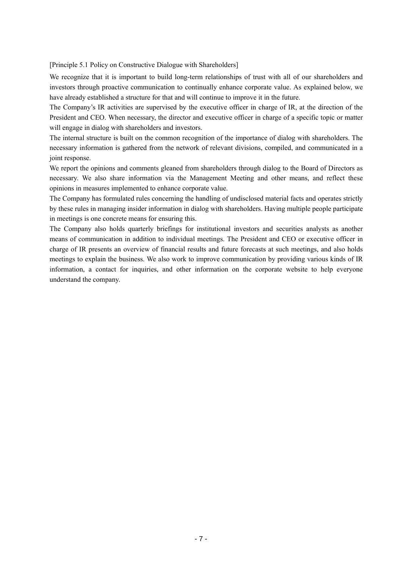[Principle 5.1 Policy on Constructive Dialogue with Shareholders]

We recognize that it is important to build long-term relationships of trust with all of our shareholders and investors through proactive communication to continually enhance corporate value. As explained below, we have already established a structure for that and will continue to improve it in the future.

The Company's IR activities are supervised by the executive officer in charge of IR, at the direction of the President and CEO. When necessary, the director and executive officer in charge of a specific topic or matter will engage in dialog with shareholders and investors.

The internal structure is built on the common recognition of the importance of dialog with shareholders. The necessary information is gathered from the network of relevant divisions, compiled, and communicated in a joint response.

We report the opinions and comments gleaned from shareholders through dialog to the Board of Directors as necessary. We also share information via the Management Meeting and other means, and reflect these opinions in measures implemented to enhance corporate value.

The Company has formulated rules concerning the handling of undisclosed material facts and operates strictly by these rules in managing insider information in dialog with shareholders. Having multiple people participate in meetings is one concrete means for ensuring this.

The Company also holds quarterly briefings for institutional investors and securities analysts as another means of communication in addition to individual meetings. The President and CEO or executive officer in charge of IR presents an overview of financial results and future forecasts at such meetings, and also holds meetings to explain the business. We also work to improve communication by providing various kinds of IR information, a contact for inquiries, and other information on the corporate website to help everyone understand the company.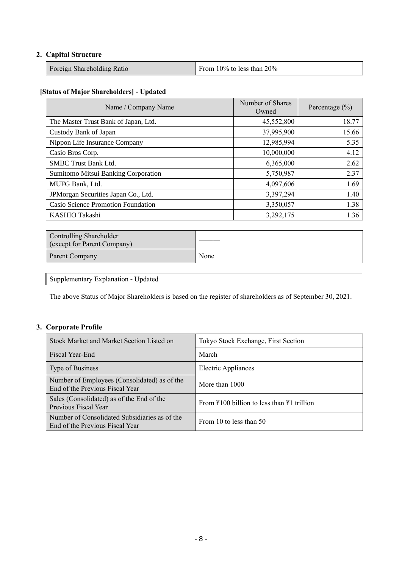# **2. Capital Structure**

| Foreign Shareholding Ratio | From $10\%$ to less than $20\%$ |
|----------------------------|---------------------------------|
|----------------------------|---------------------------------|

#### **[Status of Major Shareholders] - Updated**

| Name / Company Name                  | Number of Shares<br>Owned | Percentage $(\% )$ |
|--------------------------------------|---------------------------|--------------------|
| The Master Trust Bank of Japan, Ltd. | 45,552,800                | 18.77              |
| Custody Bank of Japan                | 37,995,900                | 15.66              |
| Nippon Life Insurance Company        | 12,985,994                | 5.35               |
| Casio Bros Corp.                     | 10,000,000                | 4.12               |
| <b>SMBC Trust Bank Ltd.</b>          | 6,365,000                 | 2.62               |
| Sumitomo Mitsui Banking Corporation  | 5,750,987                 | 2.37               |
| MUFG Bank, Ltd.                      | 4,097,606                 | 1.69               |
| JPMorgan Securities Japan Co., Ltd.  | 3,397,294                 | 1.40               |
| Casio Science Promotion Foundation   | 3,350,057                 | 1.38               |
| KASHIO Takashi                       | 3,292,175                 | 1.36               |

| Controlling Shareholder<br>(except for Parent Company) |      |
|--------------------------------------------------------|------|
| Parent Company                                         | None |

Supplementary Explanation - Updated

The above Status of Major Shareholders is based on the register of shareholders as of September 30, 2021.

# **3. Corporate Profile**

| Stock Market and Market Section Listed on                                        | Tokyo Stock Exchange, First Section                            |  |  |
|----------------------------------------------------------------------------------|----------------------------------------------------------------|--|--|
| Fiscal Year-End                                                                  | March                                                          |  |  |
| Type of Business                                                                 | Electric Appliances                                            |  |  |
| Number of Employees (Consolidated) as of the<br>End of the Previous Fiscal Year  | More than 1000                                                 |  |  |
| Sales (Consolidated) as of the End of the<br>Previous Fiscal Year                | From $\text{\#}100$ billion to less than $\text{\#}1$ trillion |  |  |
| Number of Consolidated Subsidiaries as of the<br>End of the Previous Fiscal Year | From 10 to less than 50                                        |  |  |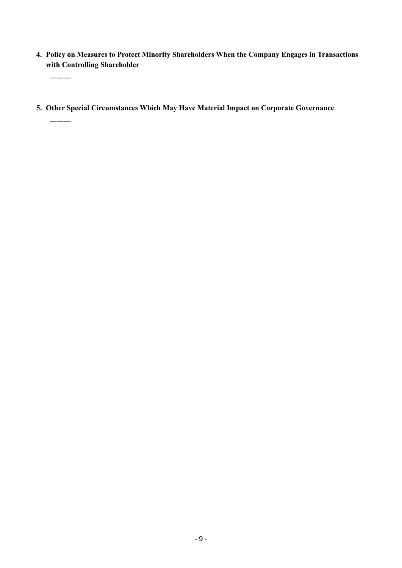- **4. Policy on Measures to Protect Minority Shareholders When the Company Engages in Transactions with Controlling Shareholder**
- **5. Other Special Circumstances Which May Have Material Impact on Corporate Governance**

―――

―――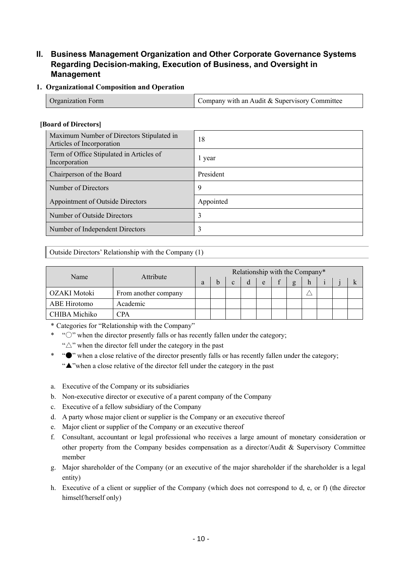# **II. Business Management Organization and Other Corporate Governance Systems Regarding Decision-making, Execution of Business, and Oversight in Management**

### **1. Organizational Composition and Operation**

| <b>Organization Form</b> | Company with an Audit & Supervisory Committee |
|--------------------------|-----------------------------------------------|
|                          |                                               |

### **[Board of Directors]**

| Maximum Number of Directors Stipulated in<br>Articles of Incorporation | 18        |
|------------------------------------------------------------------------|-----------|
| Term of Office Stipulated in Articles of<br>Incorporation              | 1 year    |
| Chairperson of the Board                                               | President |
| Number of Directors                                                    | 9         |
| Appointment of Outside Directors                                       | Appointed |
| Number of Outside Directors                                            | 3         |
| Number of Independent Directors                                        |           |

### Outside Directors' Relationship with the Company (1)

|               |                      | Relationship with the Company* |  |              |  |   |  |              |   |  |  |
|---------------|----------------------|--------------------------------|--|--------------|--|---|--|--------------|---|--|--|
| Name          | Attribute            |                                |  | $\mathbf{c}$ |  | e |  | $\mathbf{g}$ | h |  |  |
| OZAKI Motoki  | From another company |                                |  |              |  |   |  |              |   |  |  |
| ABE Hirotomo  | Academic             |                                |  |              |  |   |  |              |   |  |  |
| CHIBA Michiko | CPA                  |                                |  |              |  |   |  |              |   |  |  |

\* Categories for "Relationship with the Company"

\* "○" when the director presently falls or has recently fallen under the category; " $\triangle$ " when the director fell under the category in the past

- \* "●" when a close relative of the director presently falls or has recently fallen under the category; "▲"when a close relative of the director fell under the category in the past
- a. Executive of the Company or its subsidiaries
- b. Non-executive director or executive of a parent company of the Company
- c. Executive of a fellow subsidiary of the Company
- d. A party whose major client or supplier is the Company or an executive thereof
- e. Major client or supplier of the Company or an executive thereof
- f. Consultant, accountant or legal professional who receives a large amount of monetary consideration or other property from the Company besides compensation as a director/Audit & Supervisory Committee member
- g. Major shareholder of the Company (or an executive of the major shareholder if the shareholder is a legal entity)
- h. Executive of a client or supplier of the Company (which does not correspond to d, e, or f) (the director himself/herself only)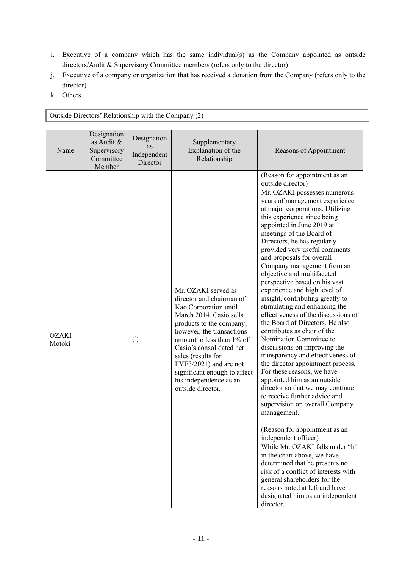- i. Executive of a company which has the same individual(s) as the Company appointed as outside directors/Audit & Supervisory Committee members (refers only to the director)
- j. Executive of a company or organization that has received a donation from the Company (refers only to the director)
- k. Others

| Name                   | Designation<br>as Audit $\&$<br>Supervisory<br>Committee<br>Member | Designation<br>as<br>Independent<br>Director | Supplementary<br>Explanation of the<br>Relationship                                                                                                                                                                                                                                                                                                  | Reasons of Appointment                                                                                                                                                                                                                                                                                                                                                                                                                                                                                                                                                                                                                                                                                                                                                                                                                                                                                                                                                                                                                                                                                                                                                                                                                                                                                   |
|------------------------|--------------------------------------------------------------------|----------------------------------------------|------------------------------------------------------------------------------------------------------------------------------------------------------------------------------------------------------------------------------------------------------------------------------------------------------------------------------------------------------|----------------------------------------------------------------------------------------------------------------------------------------------------------------------------------------------------------------------------------------------------------------------------------------------------------------------------------------------------------------------------------------------------------------------------------------------------------------------------------------------------------------------------------------------------------------------------------------------------------------------------------------------------------------------------------------------------------------------------------------------------------------------------------------------------------------------------------------------------------------------------------------------------------------------------------------------------------------------------------------------------------------------------------------------------------------------------------------------------------------------------------------------------------------------------------------------------------------------------------------------------------------------------------------------------------|
| <b>OZAKI</b><br>Motoki |                                                                    |                                              | Mr. OZAKI served as<br>director and chairman of<br>Kao Corporation until<br>March 2014. Casio sells<br>products to the company;<br>however, the transactions<br>amount to less than 1% of<br>Casio's consolidated net<br>sales (results for<br>FYE3/2021) and are not<br>significant enough to affect<br>his independence as an<br>outside director. | (Reason for appointment as an<br>outside director)<br>Mr. OZAKI possesses numerous<br>years of management experience<br>at major corporations. Utilizing<br>this experience since being<br>appointed in June 2019 at<br>meetings of the Board of<br>Directors, he has regularly<br>provided very useful comments<br>and proposals for overall<br>Company management from an<br>objective and multifaceted<br>perspective based on his vast<br>experience and high level of<br>insight, contributing greatly to<br>stimulating and enhancing the<br>effectiveness of the discussions of<br>the Board of Directors. He also<br>contributes as chair of the<br>Nomination Committee to<br>discussions on improving the<br>transparency and effectiveness of<br>the director appointment process.<br>For these reasons, we have<br>appointed him as an outside<br>director so that we may continue<br>to receive further advice and<br>supervision on overall Company<br>management.<br>(Reason for appointment as an<br>independent officer)<br>While Mr. OZAKI falls under "h"<br>in the chart above, we have<br>determined that he presents no<br>risk of a conflict of interests with<br>general shareholders for the<br>reasons noted at left and have<br>designated him as an independent<br>director. |

Outside Directors' Relationship with the Company (2)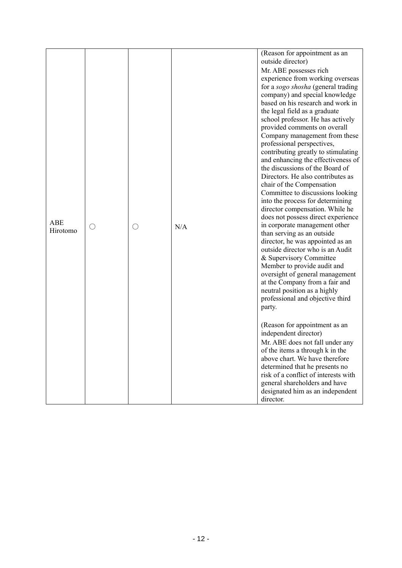|            |   |   |     | (Reason for appointment as an                                       |
|------------|---|---|-----|---------------------------------------------------------------------|
|            |   |   |     | outside director)                                                   |
|            |   |   |     | Mr. ABE possesses rich                                              |
|            |   |   |     | experience from working overseas                                    |
|            |   |   |     | for a sogo shosha (general trading                                  |
|            |   |   |     | company) and special knowledge                                      |
|            |   |   |     | based on his research and work in                                   |
|            |   |   |     | the legal field as a graduate                                       |
|            |   |   |     | school professor. He has actively                                   |
|            |   |   |     | provided comments on overall                                        |
|            |   |   |     | Company management from these                                       |
|            |   |   |     | professional perspectives,                                          |
|            |   |   |     | contributing greatly to stimulating                                 |
|            |   |   |     | and enhancing the effectiveness of                                  |
|            |   |   |     | the discussions of the Board of                                     |
|            |   |   |     | Directors. He also contributes as                                   |
|            |   |   |     | chair of the Compensation                                           |
|            |   |   |     | Committee to discussions looking                                    |
|            |   |   |     | into the process for determining<br>director compensation. While he |
|            |   |   |     | does not possess direct experience                                  |
| <b>ABE</b> |   |   |     | in corporate management other                                       |
| Hirotomo   | ∩ | ∩ | N/A | than serving as an outside                                          |
|            |   |   |     | director, he was appointed as an                                    |
|            |   |   |     | outside director who is an Audit                                    |
|            |   |   |     | & Supervisory Committee                                             |
|            |   |   |     | Member to provide audit and                                         |
|            |   |   |     | oversight of general management                                     |
|            |   |   |     | at the Company from a fair and                                      |
|            |   |   |     | neutral position as a highly                                        |
|            |   |   |     | professional and objective third                                    |
|            |   |   |     | party.                                                              |
|            |   |   |     |                                                                     |
|            |   |   |     | (Reason for appointment as an                                       |
|            |   |   |     | independent director)                                               |
|            |   |   |     | Mr. ABE does not fall under any                                     |
|            |   |   |     | of the items a through k in the                                     |
|            |   |   |     | above chart. We have therefore                                      |
|            |   |   |     | determined that he presents no                                      |
|            |   |   |     | risk of a conflict of interests with                                |
|            |   |   |     | general shareholders and have                                       |
|            |   |   |     | designated him as an independent                                    |
|            |   |   |     | director.                                                           |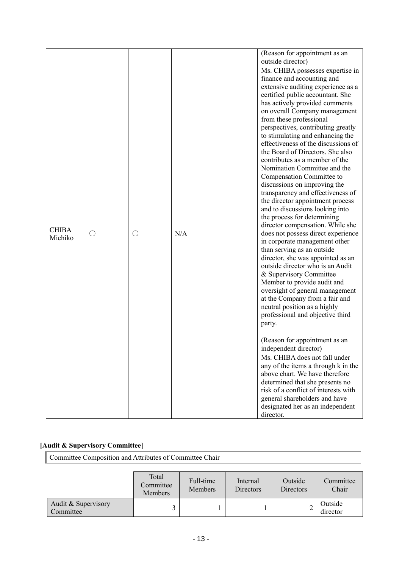| $(\ )$ | N/A | (Reason for appointment as an<br>outside director)<br>Ms. CHIBA possesses expertise in<br>finance and accounting and<br>extensive auditing experience as a<br>certified public accountant. She<br>has actively provided comments<br>on overall Company management<br>from these professional<br>perspectives, contributing greatly<br>to stimulating and enhancing the<br>effectiveness of the discussions of<br>the Board of Directors. She also<br>contributes as a member of the<br>Nomination Committee and the<br>Compensation Committee to<br>discussions on improving the<br>transparency and effectiveness of<br>the director appointment process<br>and to discussions looking into<br>the process for determining<br>director compensation. While she<br>does not possess direct experience<br>in corporate management other<br>than serving as an outside<br>director, she was appointed as an<br>outside director who is an Audit<br>& Supervisory Committee<br>Member to provide audit and<br>oversight of general management<br>at the Company from a fair and<br>neutral position as a highly<br>professional and objective third<br>party.<br>(Reason for appointment as an<br>independent director)<br>Ms. CHIBA does not fall under<br>any of the items a through k in the |
|--------|-----|----------------------------------------------------------------------------------------------------------------------------------------------------------------------------------------------------------------------------------------------------------------------------------------------------------------------------------------------------------------------------------------------------------------------------------------------------------------------------------------------------------------------------------------------------------------------------------------------------------------------------------------------------------------------------------------------------------------------------------------------------------------------------------------------------------------------------------------------------------------------------------------------------------------------------------------------------------------------------------------------------------------------------------------------------------------------------------------------------------------------------------------------------------------------------------------------------------------------------------------------------------------------------------------------|
|        |     | above chart. We have therefore<br>determined that she presents no<br>risk of a conflict of interests with<br>general shareholders and have<br>designated her as an independent                                                                                                                                                                                                                                                                                                                                                                                                                                                                                                                                                                                                                                                                                                                                                                                                                                                                                                                                                                                                                                                                                                               |
|        |     |                                                                                                                                                                                                                                                                                                                                                                                                                                                                                                                                                                                                                                                                                                                                                                                                                                                                                                                                                                                                                                                                                                                                                                                                                                                                                              |

### **[Audit & Supervisory Committee]**

Committee Composition and Attributes of Committee Chair

|                                  | Total<br>Committee<br>Members | Full-time<br><b>Members</b> | Internal<br>Directors | Outside<br>Directors | Committee<br>Chair  |
|----------------------------------|-------------------------------|-----------------------------|-----------------------|----------------------|---------------------|
| Audit & Supervisory<br>Committee |                               |                             |                       | ∠                    | Outside<br>director |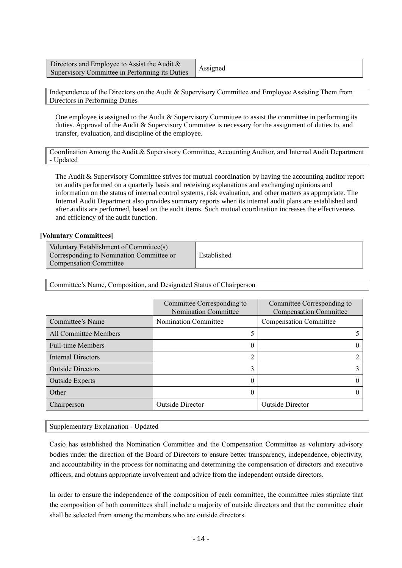Directors and Employee to Assist the Audit & Supervisory Committee in Performing its Duties Assigned

Independence of the Directors on the Audit & Supervisory Committee and Employee Assisting Them from Directors in Performing Duties

One employee is assigned to the Audit & Supervisory Committee to assist the committee in performing its duties. Approval of the Audit & Supervisory Committee is necessary for the assignment of duties to, and transfer, evaluation, and discipline of the employee.

Coordination Among the Audit & Supervisory Committee, Accounting Auditor, and Internal Audit Department - Updated

The Audit & Supervisory Committee strives for mutual coordination by having the accounting auditor report on audits performed on a quarterly basis and receiving explanations and exchanging opinions and information on the status of internal control systems, risk evaluation, and other matters as appropriate. The Internal Audit Department also provides summary reports when its internal audit plans are established and after audits are performed, based on the audit items. Such mutual coordination increases the effectiveness and efficiency of the audit function.

#### **[Voluntary Committees]**

| Voluntary Establishment of Committee(s)  |             |
|------------------------------------------|-------------|
| Corresponding to Nomination Committee or | Established |
| <b>Compensation Committee</b>            |             |

Committee's Name, Composition, and Designated Status of Chairperson

|                              | Committee Corresponding to<br>Nomination Committee | Committee Corresponding to<br><b>Compensation Committee</b> |
|------------------------------|----------------------------------------------------|-------------------------------------------------------------|
| Committee's Name             | Nomination Committee                               | <b>Compensation Committee</b>                               |
| <b>All Committee Members</b> |                                                    |                                                             |
| <b>Full-time Members</b>     | U                                                  |                                                             |
| Internal Directors           | ി                                                  |                                                             |
| <b>Outside Directors</b>     | 3                                                  |                                                             |
| <b>Outside Experts</b>       |                                                    |                                                             |
| Other                        |                                                    |                                                             |
| Chairperson                  | <b>Outside Director</b>                            | <b>Outside Director</b>                                     |

Supplementary Explanation - Updated

Casio has established the Nomination Committee and the Compensation Committee as voluntary advisory bodies under the direction of the Board of Directors to ensure better transparency, independence, objectivity, and accountability in the process for nominating and determining the compensation of directors and executive officers, and obtains appropriate involvement and advice from the independent outside directors.

In order to ensure the independence of the composition of each committee, the committee rules stipulate that the composition of both committees shall include a majority of outside directors and that the committee chair shall be selected from among the members who are outside directors.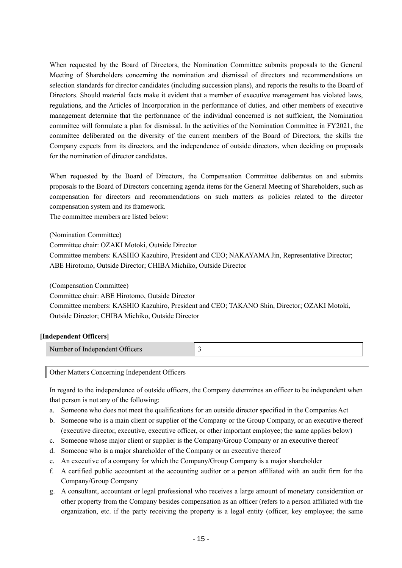When requested by the Board of Directors, the Nomination Committee submits proposals to the General Meeting of Shareholders concerning the nomination and dismissal of directors and recommendations on selection standards for director candidates (including succession plans), and reports the results to the Board of Directors. Should material facts make it evident that a member of executive management has violated laws, regulations, and the Articles of Incorporation in the performance of duties, and other members of executive management determine that the performance of the individual concerned is not sufficient, the Nomination committee will formulate a plan for dismissal. In the activities of the Nomination Committee in FY2021, the committee deliberated on the diversity of the current members of the Board of Directors, the skills the Company expects from its directors, and the independence of outside directors, when deciding on proposals for the nomination of director candidates.

When requested by the Board of Directors, the Compensation Committee deliberates on and submits proposals to the Board of Directors concerning agenda items for the General Meeting of Shareholders, such as compensation for directors and recommendations on such matters as policies related to the director compensation system and its framework.

The committee members are listed below:

(Nomination Committee) Committee chair: OZAKI Motoki, Outside Director Committee members: KASHIO Kazuhiro, President and CEO; NAKAYAMA Jin, Representative Director; ABE Hirotomo, Outside Director; CHIBA Michiko, Outside Director

(Compensation Committee)

Committee chair: ABE Hirotomo, Outside Director Committee members: KASHIO Kazuhiro, President and CEO; TAKANO Shin, Director; OZAKI Motoki, Outside Director; CHIBA Michiko, Outside Director

### **[Independent Officers]**

| Number of Independent Officers |  |
|--------------------------------|--|
|                                |  |

Other Matters Concerning Independent Officers

In regard to the independence of outside officers, the Company determines an officer to be independent when that person is not any of the following:

- a. Someone who does not meet the qualifications for an outside director specified in the Companies Act
- b. Someone who is a main client or supplier of the Company or the Group Company, or an executive thereof (executive director, executive, executive officer, or other important employee; the same applies below)
- c. Someone whose major client or supplier is the Company/Group Company or an executive thereof
- d. Someone who is a major shareholder of the Company or an executive thereof
- e. An executive of a company for which the Company/Group Company is a major shareholder
- f. A certified public accountant at the accounting auditor or a person affiliated with an audit firm for the Company/Group Company
- g. A consultant, accountant or legal professional who receives a large amount of monetary consideration or other property from the Company besides compensation as an officer (refers to a person affiliated with the organization, etc. if the party receiving the property is a legal entity (officer, key employee; the same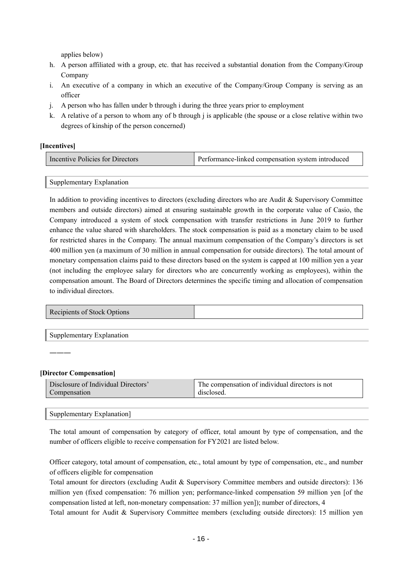applies below)

- h. A person affiliated with a group, etc. that has received a substantial donation from the Company/Group Company
- i. An executive of a company in which an executive of the Company/Group Company is serving as an officer
- j. A person who has fallen under b through i during the three years prior to employment
- k. A relative of a person to whom any of b through j is applicable (the spouse or a close relative within two degrees of kinship of the person concerned)

#### **[Incentives]**

| Incentive Policies for Directors | <b>Performance-linked compensation system introduced</b> |
|----------------------------------|----------------------------------------------------------|
|----------------------------------|----------------------------------------------------------|

Supplementary Explanation

In addition to providing incentives to directors (excluding directors who are Audit & Supervisory Committee members and outside directors) aimed at ensuring sustainable growth in the corporate value of Casio, the Company introduced a system of stock compensation with transfer restrictions in June 2019 to further enhance the value shared with shareholders. The stock compensation is paid as a monetary claim to be used for restricted shares in the Company. The annual maximum compensation of the Company's directors is set 400 million yen (a maximum of 30 million in annual compensation for outside directors). The total amount of monetary compensation claims paid to these directors based on the system is capped at 100 million yen a year (not including the employee salary for directors who are concurrently working as employees), within the compensation amount. The Board of Directors determines the specific timing and allocation of compensation to individual directors.

| Recipients of Stock Options |  |
|-----------------------------|--|
|-----------------------------|--|

Supplementary Explanation

―――

### **[Director Compensation]**

| Disclosure of Individual Directors' | The compensation of individual directors is not |
|-------------------------------------|-------------------------------------------------|
| Compensation                        | disclosed                                       |

Supplementary Explanation]

The total amount of compensation by category of officer, total amount by type of compensation, and the number of officers eligible to receive compensation for FY2021 are listed below.

Officer category, total amount of compensation, etc., total amount by type of compensation, etc., and number of officers eligible for compensation

Total amount for directors (excluding Audit & Supervisory Committee members and outside directors): 136 million yen (fixed compensation: 76 million yen; performance-linked compensation 59 million yen [of the compensation listed at left, non-monetary compensation: 37 million yen]); number of directors, 4

Total amount for Audit & Supervisory Committee members (excluding outside directors): 15 million yen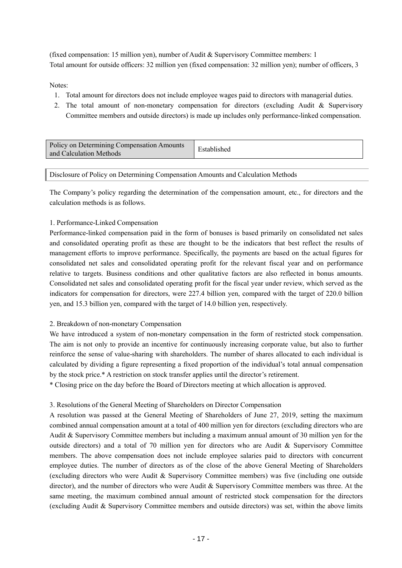(fixed compensation: 15 million yen), number of Audit & Supervisory Committee members: 1 Total amount for outside officers: 32 million yen (fixed compensation: 32 million yen); number of officers, 3

Notes:

- 1. Total amount for directors does not include employee wages paid to directors with managerial duties.
- 2. The total amount of non-monetary compensation for directors (excluding Audit & Supervisory Committee members and outside directors) is made up includes only performance-linked compensation.

| and Calculation Methods | Policy on Determining Compensation Amounts | Established |
|-------------------------|--------------------------------------------|-------------|
|-------------------------|--------------------------------------------|-------------|

Disclosure of Policy on Determining Compensation Amounts and Calculation Methods

The Company's policy regarding the determination of the compensation amount, etc., for directors and the calculation methods is as follows.

#### 1. Performance-Linked Compensation

Performance-linked compensation paid in the form of bonuses is based primarily on consolidated net sales and consolidated operating profit as these are thought to be the indicators that best reflect the results of management efforts to improve performance. Specifically, the payments are based on the actual figures for consolidated net sales and consolidated operating profit for the relevant fiscal year and on performance relative to targets. Business conditions and other qualitative factors are also reflected in bonus amounts. Consolidated net sales and consolidated operating profit for the fiscal year under review, which served as the indicators for compensation for directors, were 227.4 billion yen, compared with the target of 220.0 billion yen, and 15.3 billion yen, compared with the target of 14.0 billion yen, respectively.

#### 2. Breakdown of non-monetary Compensation

We have introduced a system of non-monetary compensation in the form of restricted stock compensation. The aim is not only to provide an incentive for continuously increasing corporate value, but also to further reinforce the sense of value-sharing with shareholders. The number of shares allocated to each individual is calculated by dividing a figure representing a fixed proportion of the individual's total annual compensation by the stock price.\* A restriction on stock transfer applies until the director's retirement.

\* Closing price on the day before the Board of Directors meeting at which allocation is approved.

#### 3. Resolutions of the General Meeting of Shareholders on Director Compensation

A resolution was passed at the General Meeting of Shareholders of June 27, 2019, setting the maximum combined annual compensation amount at a total of 400 million yen for directors (excluding directors who are Audit & Supervisory Committee members but including a maximum annual amount of 30 million yen for the outside directors) and a total of 70 million yen for directors who are Audit & Supervisory Committee members. The above compensation does not include employee salaries paid to directors with concurrent employee duties. The number of directors as of the close of the above General Meeting of Shareholders (excluding directors who were Audit & Supervisory Committee members) was five (including one outside director), and the number of directors who were Audit & Supervisory Committee members was three. At the same meeting, the maximum combined annual amount of restricted stock compensation for the directors (excluding Audit & Supervisory Committee members and outside directors) was set, within the above limits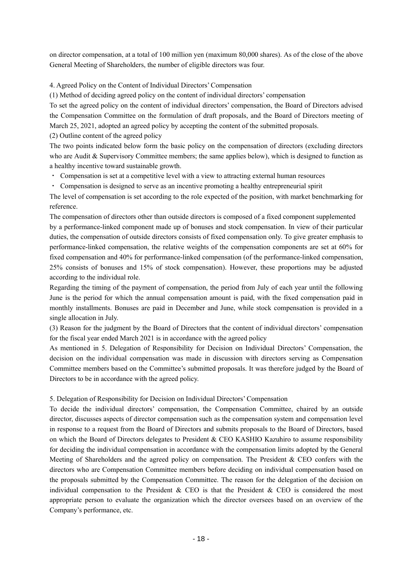on director compensation, at a total of 100 million yen (maximum 80,000 shares). As of the close of the above General Meeting of Shareholders, the number of eligible directors was four.

4. Agreed Policy on the Content of Individual Directors' Compensation

(1) Method of deciding agreed policy on the content of individual directors' compensation

To set the agreed policy on the content of individual directors' compensation, the Board of Directors advised the Compensation Committee on the formulation of draft proposals, and the Board of Directors meeting of March 25, 2021, adopted an agreed policy by accepting the content of the submitted proposals.

(2) Outline content of the agreed policy

The two points indicated below form the basic policy on the compensation of directors (excluding directors who are Audit & Supervisory Committee members; the same applies below), which is designed to function as a healthy incentive toward sustainable growth.

- ・ Compensation is set at a competitive level with a view to attracting external human resources
- ・ Compensation is designed to serve as an incentive promoting a healthy entrepreneurial spirit

The level of compensation is set according to the role expected of the position, with market benchmarking for reference.

The compensation of directors other than outside directors is composed of a fixed component supplemented by a performance-linked component made up of bonuses and stock compensation. In view of their particular duties, the compensation of outside directors consists of fixed compensation only. To give greater emphasis to performance-linked compensation, the relative weights of the compensation components are set at 60% for fixed compensation and 40% for performance-linked compensation (of the performance-linked compensation, 25% consists of bonuses and 15% of stock compensation). However, these proportions may be adjusted according to the individual role.

Regarding the timing of the payment of compensation, the period from July of each year until the following June is the period for which the annual compensation amount is paid, with the fixed compensation paid in monthly installments. Bonuses are paid in December and June, while stock compensation is provided in a single allocation in July.

(3) Reason for the judgment by the Board of Directors that the content of individual directors' compensation for the fiscal year ended March 2021 is in accordance with the agreed policy

As mentioned in 5. Delegation of Responsibility for Decision on Individual Directors' Compensation, the decision on the individual compensation was made in discussion with directors serving as Compensation Committee members based on the Committee's submitted proposals. It was therefore judged by the Board of Directors to be in accordance with the agreed policy.

### 5. Delegation of Responsibility for Decision on Individual Directors' Compensation

To decide the individual directors' compensation, the Compensation Committee, chaired by an outside director, discusses aspects of director compensation such as the compensation system and compensation level in response to a request from the Board of Directors and submits proposals to the Board of Directors, based on which the Board of Directors delegates to President & CEO KASHIO Kazuhiro to assume responsibility for deciding the individual compensation in accordance with the compensation limits adopted by the General Meeting of Shareholders and the agreed policy on compensation. The President & CEO confers with the directors who are Compensation Committee members before deciding on individual compensation based on the proposals submitted by the Compensation Committee. The reason for the delegation of the decision on individual compensation to the President & CEO is that the President & CEO is considered the most appropriate person to evaluate the organization which the director oversees based on an overview of the Company's performance, etc.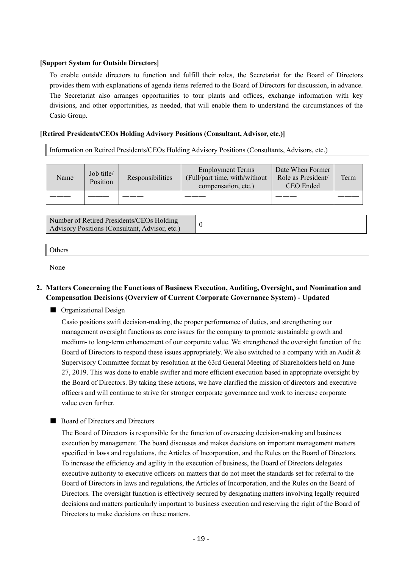#### **[Support System for Outside Directors]**

To enable outside directors to function and fulfill their roles, the Secretariat for the Board of Directors provides them with explanations of agenda items referred to the Board of Directors for discussion, in advance. The Secretariat also arranges opportunities to tour plants and offices, exchange information with key divisions, and other opportunities, as needed, that will enable them to understand the circumstances of the Casio Group.

#### **[Retired Presidents/CEOs Holding Advisory Positions (Consultant, Advisor, etc.)]**

Information on Retired Presidents/CEOs Holding Advisory Positions (Consultants, Advisors, etc.)

| Name | Job title/<br>Position | Responsibilities | <b>Employment Terms</b><br>(Full/part time, with/without)<br>compensation, etc.) | Date When Former<br>Role as President/<br>CEO Ended | Term |
|------|------------------------|------------------|----------------------------------------------------------------------------------|-----------------------------------------------------|------|
|      |                        |                  |                                                                                  |                                                     |      |

Number of Retired Presidents/CEOs Holding Advisory Positions (Consultant, Advisor, etc.)

| ner |  |  |
|-----|--|--|
|     |  |  |

None

### **2. Matters Concerning the Functions of Business Execution, Auditing, Oversight, and Nomination and Compensation Decisions (Overview of Current Corporate Governance System) - Updated**

■ Organizational Design

Casio positions swift decision-making, the proper performance of duties, and strengthening our management oversight functions as core issues for the company to promote sustainable growth and medium- to long-term enhancement of our corporate value. We strengthened the oversight function of the Board of Directors to respond these issues appropriately. We also switched to a company with an Audit & Supervisory Committee format by resolution at the 63rd General Meeting of Shareholders held on June 27, 2019. This was done to enable swifter and more efficient execution based in appropriate oversight by the Board of Directors. By taking these actions, we have clarified the mission of directors and executive officers and will continue to strive for stronger corporate governance and work to increase corporate value even further.

#### ■ Board of Directors and Directors

The Board of Directors is responsible for the function of overseeing decision-making and business execution by management. The board discusses and makes decisions on important management matters specified in laws and regulations, the Articles of Incorporation, and the Rules on the Board of Directors. To increase the efficiency and agility in the execution of business, the Board of Directors delegates executive authority to executive officers on matters that do not meet the standards set for referral to the Board of Directors in laws and regulations, the Articles of Incorporation, and the Rules on the Board of Directors. The oversight function is effectively secured by designating matters involving legally required decisions and matters particularly important to business execution and reserving the right of the Board of Directors to make decisions on these matters.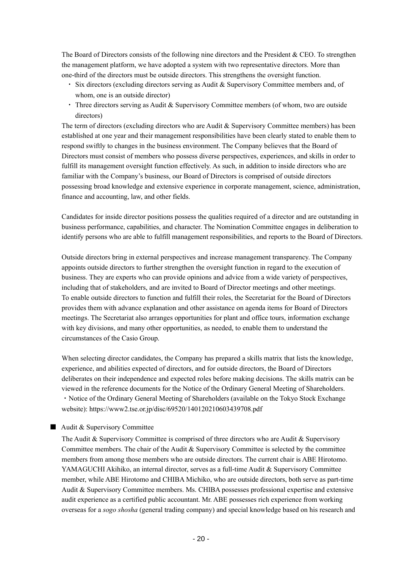The Board of Directors consists of the following nine directors and the President & CEO. To strengthen the management platform, we have adopted a system with two representative directors. More than one-third of the directors must be outside directors. This strengthens the oversight function.

- ・ Six directors (excluding directors serving as Audit & Supervisory Committee members and, of whom, one is an outside director)
- ・ Three directors serving as Audit & Supervisory Committee members (of whom, two are outside directors)

The term of directors (excluding directors who are Audit & Supervisory Committee members) has been established at one year and their management responsibilities have been clearly stated to enable them to respond swiftly to changes in the business environment. The Company believes that the Board of Directors must consist of members who possess diverse perspectives, experiences, and skills in order to fulfill its management oversight function effectively. As such, in addition to inside directors who are familiar with the Company's business, our Board of Directors is comprised of outside directors possessing broad knowledge and extensive experience in corporate management, science, administration, finance and accounting, law, and other fields.

Candidates for inside director positions possess the qualities required of a director and are outstanding in business performance, capabilities, and character. The Nomination Committee engages in deliberation to identify persons who are able to fulfill management responsibilities, and reports to the Board of Directors.

Outside directors bring in external perspectives and increase management transparency. The Company appoints outside directors to further strengthen the oversight function in regard to the execution of business. They are experts who can provide opinions and advice from a wide variety of perspectives, including that of stakeholders, and are invited to Board of Director meetings and other meetings. To enable outside directors to function and fulfill their roles, the Secretariat for the Board of Directors provides them with advance explanation and other assistance on agenda items for Board of Directors meetings. The Secretariat also arranges opportunities for plant and office tours, information exchange with key divisions, and many other opportunities, as needed, to enable them to understand the circumstances of the Casio Group.

When selecting director candidates, the Company has prepared a skills matrix that lists the knowledge, experience, and abilities expected of directors, and for outside directors, the Board of Directors deliberates on their independence and expected roles before making decisions. The skills matrix can be viewed in the reference documents for the Notice of the Ordinary General Meeting of Shareholders. ・Notice of the Ordinary General Meeting of Shareholders (available on the Tokyo Stock Exchange website): https://www2.tse.or.jp/disc/69520/140120210603439708.pdf

#### ■ Audit & Supervisory Committee

The Audit & Supervisory Committee is comprised of three directors who are Audit & Supervisory Committee members. The chair of the Audit  $\&$  Supervisory Committee is selected by the committee members from among those members who are outside directors. The current chair is ABE Hirotomo. YAMAGUCHI Akihiko, an internal director, serves as a full-time Audit & Supervisory Committee member, while ABE Hirotomo and CHIBA Michiko, who are outside directors, both serve as part-time Audit & Supervisory Committee members. Ms. CHIBA possesses professional expertise and extensive audit experience as a certified public accountant. Mr. ABE possesses rich experience from working overseas for a *sogo shosha* (general trading company) and special knowledge based on his research and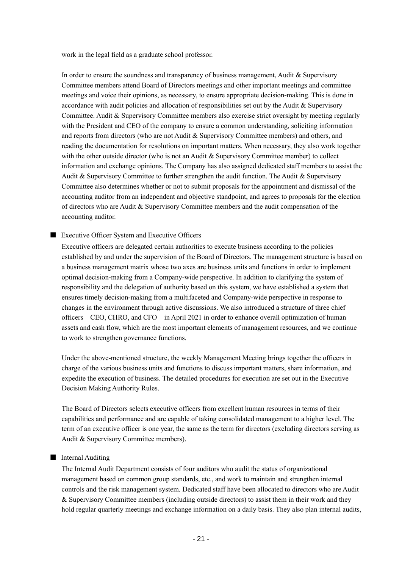work in the legal field as a graduate school professor.

In order to ensure the soundness and transparency of business management, Audit & Supervisory Committee members attend Board of Directors meetings and other important meetings and committee meetings and voice their opinions, as necessary, to ensure appropriate decision-making. This is done in accordance with audit policies and allocation of responsibilities set out by the Audit & Supervisory Committee. Audit & Supervisory Committee members also exercise strict oversight by meeting regularly with the President and CEO of the company to ensure a common understanding, soliciting information and reports from directors (who are not Audit & Supervisory Committee members) and others, and reading the documentation for resolutions on important matters. When necessary, they also work together with the other outside director (who is not an Audit & Supervisory Committee member) to collect information and exchange opinions. The Company has also assigned dedicated staff members to assist the Audit & Supervisory Committee to further strengthen the audit function. The Audit & Supervisory Committee also determines whether or not to submit proposals for the appointment and dismissal of the accounting auditor from an independent and objective standpoint, and agrees to proposals for the election of directors who are Audit & Supervisory Committee members and the audit compensation of the accounting auditor.

#### ■ Executive Officer System and Executive Officers

Executive officers are delegated certain authorities to execute business according to the policies established by and under the supervision of the Board of Directors. The management structure is based on a business management matrix whose two axes are business units and functions in order to implement optimal decision-making from a Company-wide perspective. In addition to clarifying the system of responsibility and the delegation of authority based on this system, we have established a system that ensures timely decision-making from a multifaceted and Company-wide perspective in response to changes in the environment through active discussions. We also introduced a structure of three chief officers—CEO, CHRO, and CFO—in April 2021 in order to enhance overall optimization of human assets and cash flow, which are the most important elements of management resources, and we continue to work to strengthen governance functions.

Under the above-mentioned structure, the weekly Management Meeting brings together the officers in charge of the various business units and functions to discuss important matters, share information, and expedite the execution of business. The detailed procedures for execution are set out in the Executive Decision Making Authority Rules.

The Board of Directors selects executive officers from excellent human resources in terms of their capabilities and performance and are capable of taking consolidated management to a higher level. The term of an executive officer is one year, the same as the term for directors (excluding directors serving as Audit & Supervisory Committee members).

#### ■ Internal Auditing

The Internal Audit Department consists of four auditors who audit the status of organizational management based on common group standards, etc., and work to maintain and strengthen internal controls and the risk management system. Dedicated staff have been allocated to directors who are Audit & Supervisory Committee members (including outside directors) to assist them in their work and they hold regular quarterly meetings and exchange information on a daily basis. They also plan internal audits,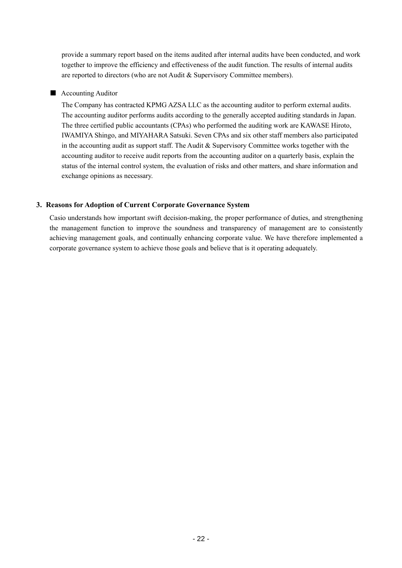provide a summary report based on the items audited after internal audits have been conducted, and work together to improve the efficiency and effectiveness of the audit function. The results of internal audits are reported to directors (who are not Audit & Supervisory Committee members).

### ■ Accounting Auditor

The Company has contracted KPMG AZSA LLC as the accounting auditor to perform external audits. The accounting auditor performs audits according to the generally accepted auditing standards in Japan. The three certified public accountants (CPAs) who performed the auditing work are KAWASE Hiroto, IWAMIYA Shingo, and MIYAHARA Satsuki. Seven CPAs and six other staff members also participated in the accounting audit as support staff. The Audit  $\&$  Supervisory Committee works together with the accounting auditor to receive audit reports from the accounting auditor on a quarterly basis, explain the status of the internal control system, the evaluation of risks and other matters, and share information and exchange opinions as necessary.

### **3. Reasons for Adoption of Current Corporate Governance System**

Casio understands how important swift decision-making, the proper performance of duties, and strengthening the management function to improve the soundness and transparency of management are to consistently achieving management goals, and continually enhancing corporate value. We have therefore implemented a corporate governance system to achieve those goals and believe that is it operating adequately.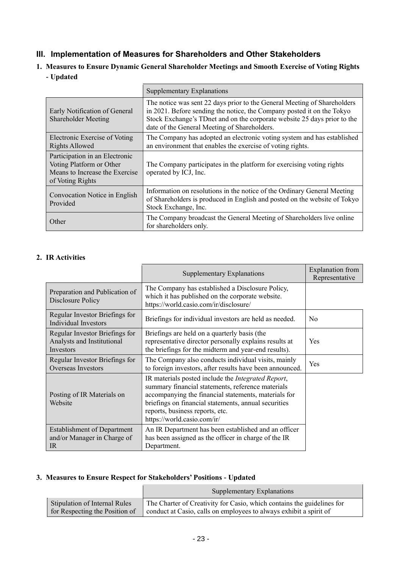# **III. Implementation of Measures for Shareholders and Other Stakeholders**

**1. Measures to Ensure Dynamic General Shareholder Meetings and Smooth Exercise of Voting Rights - Updated**

|                                                                                                                  | Supplementary Explanations                                                                                                                                                                                                                                                     |
|------------------------------------------------------------------------------------------------------------------|--------------------------------------------------------------------------------------------------------------------------------------------------------------------------------------------------------------------------------------------------------------------------------|
| Early Notification of General<br>Shareholder Meeting                                                             | The notice was sent 22 days prior to the General Meeting of Shareholders<br>in 2021. Before sending the notice, the Company posted it on the Tokyo<br>Stock Exchange's TDnet and on the corporate website 25 days prior to the<br>date of the General Meeting of Shareholders. |
| Electronic Exercise of Voting<br><b>Rights Allowed</b>                                                           | The Company has adopted an electronic voting system and has established<br>an environment that enables the exercise of voting rights.                                                                                                                                          |
| Participation in an Electronic<br>Voting Platform or Other<br>Means to Increase the Exercise<br>of Voting Rights | The Company participates in the platform for exercising voting rights<br>operated by ICJ, Inc.                                                                                                                                                                                 |
| Convocation Notice in English<br>Provided                                                                        | Information on resolutions in the notice of the Ordinary General Meeting<br>of Shareholders is produced in English and posted on the website of Tokyo<br>Stock Exchange, Inc.                                                                                                  |
| Other                                                                                                            | The Company broadcast the General Meeting of Shareholders live online<br>for shareholders only.                                                                                                                                                                                |

## **2. IR Activities**

|                                                                           | <b>Supplementary Explanations</b>                                                                                                                                                                                                                                                                 | <b>Explanation</b> from<br>Representative |
|---------------------------------------------------------------------------|---------------------------------------------------------------------------------------------------------------------------------------------------------------------------------------------------------------------------------------------------------------------------------------------------|-------------------------------------------|
| Preparation and Publication of<br>Disclosure Policy                       | The Company has established a Disclosure Policy,<br>which it has published on the corporate website.<br>https://world.casio.com/ir/disclosure/                                                                                                                                                    |                                           |
| Regular Investor Briefings for<br>Individual Investors                    | Briefings for individual investors are held as needed.                                                                                                                                                                                                                                            | N <sub>0</sub>                            |
| Regular Investor Briefings for<br>Analysts and Institutional<br>Investors | Briefings are held on a quarterly basis (the<br>representative director personally explains results at<br>the briefings for the midterm and year-end results).                                                                                                                                    | Yes                                       |
| Regular Investor Briefings for<br><b>Overseas Investors</b>               | The Company also conducts individual visits, mainly<br>to foreign investors, after results have been announced.                                                                                                                                                                                   | Yes                                       |
| Posting of IR Materials on<br>Website                                     | IR materials posted include the <i>Integrated Report</i> ,<br>summary financial statements, reference materials<br>accompanying the financial statements, materials for<br>briefings on financial statements, annual securities<br>reports, business reports, etc.<br>https://world.casio.com/ir/ |                                           |
| <b>Establishment of Department</b><br>and/or Manager in Charge of<br>IR   | An IR Department has been established and an officer<br>has been assigned as the officer in charge of the IR<br>Department.                                                                                                                                                                       |                                           |

### **3. Measures to Ensure Respect for Stakeholders' Positions - Updated**

|                                | Supplementary Explanations                                             |
|--------------------------------|------------------------------------------------------------------------|
| Stipulation of Internal Rules  | The Charter of Creativity for Casio, which contains the guidelines for |
| for Respecting the Position of | conduct at Casio, calls on employees to always exhibit a spirit of     |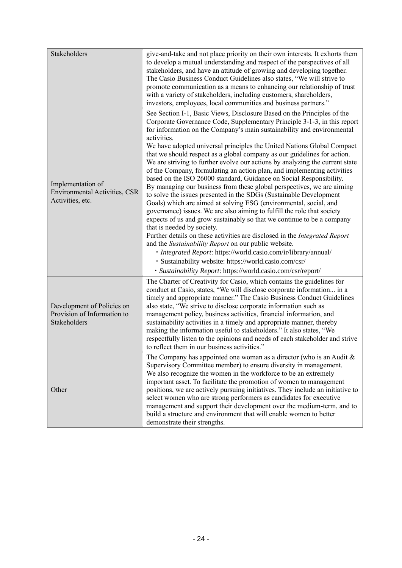| Stakeholders                                                              | give-and-take and not place priority on their own interests. It exhorts them<br>to develop a mutual understanding and respect of the perspectives of all<br>stakeholders, and have an attitude of growing and developing together.<br>The Casio Business Conduct Guidelines also states, "We will strive to<br>promote communication as a means to enhancing our relationship of trust<br>with a variety of stakeholders, including customers, shareholders,<br>investors, employees, local communities and business partners."                                                                                                                                                                                                                                                                                                                                                                                                                                                                                                                                                                                                                                                                                                                                                                                                                                                 |
|---------------------------------------------------------------------------|---------------------------------------------------------------------------------------------------------------------------------------------------------------------------------------------------------------------------------------------------------------------------------------------------------------------------------------------------------------------------------------------------------------------------------------------------------------------------------------------------------------------------------------------------------------------------------------------------------------------------------------------------------------------------------------------------------------------------------------------------------------------------------------------------------------------------------------------------------------------------------------------------------------------------------------------------------------------------------------------------------------------------------------------------------------------------------------------------------------------------------------------------------------------------------------------------------------------------------------------------------------------------------------------------------------------------------------------------------------------------------|
| Implementation of<br>Environmental Activities, CSR<br>Activities, etc.    | See Section I-1, Basic Views, Disclosure Based on the Principles of the<br>Corporate Governance Code, Supplementary Principle 3-1-3, in this report<br>for information on the Company's main sustainability and environmental<br>activities.<br>We have adopted universal principles the United Nations Global Compact<br>that we should respect as a global company as our guidelines for action.<br>We are striving to further evolve our actions by analyzing the current state<br>of the Company, formulating an action plan, and implementing activities<br>based on the ISO 26000 standard, Guidance on Social Responsibility.<br>By managing our business from these global perspectives, we are aiming<br>to solve the issues presented in the SDGs (Sustainable Development<br>Goals) which are aimed at solving ESG (environmental, social, and<br>governance) issues. We are also aiming to fulfill the role that society<br>expects of us and grow sustainably so that we continue to be a company<br>that is needed by society.<br>Further details on these activities are disclosed in the Integrated Report<br>and the Sustainability Report on our public website.<br>· Integrated Report: https://world.casio.com/ir/library/annual/<br>· Sustainability website: https://world.casio.com/csr/<br>· Sustainability Report: https://world.casio.com/csr/report/ |
| Development of Policies on<br>Provision of Information to<br>Stakeholders | The Charter of Creativity for Casio, which contains the guidelines for<br>conduct at Casio, states, "We will disclose corporate information in a<br>timely and appropriate manner." The Casio Business Conduct Guidelines<br>also state, "We strive to disclose corporate information such as<br>management policy, business activities, financial information, and<br>sustainability activities in a timely and appropriate manner, thereby<br>making the information useful to stakeholders." It also states, "We<br>respectfully listen to the opinions and needs of each stakeholder and strive<br>to reflect them in our business activities."                                                                                                                                                                                                                                                                                                                                                                                                                                                                                                                                                                                                                                                                                                                             |
| Other                                                                     | The Company has appointed one woman as a director (who is an Audit $\&$<br>Supervisory Committee member) to ensure diversity in management.<br>We also recognize the women in the workforce to be an extremely<br>important asset. To facilitate the promotion of women to management<br>positions, we are actively pursuing initiatives. They include an initiative to<br>select women who are strong performers as candidates for executive<br>management and support their development over the medium-term, and to<br>build a structure and environment that will enable women to better<br>demonstrate their strengths.                                                                                                                                                                                                                                                                                                                                                                                                                                                                                                                                                                                                                                                                                                                                                    |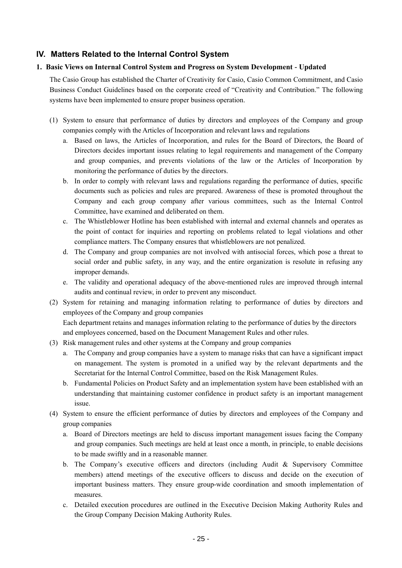# **IV. Matters Related to the Internal Control System**

### **1. Basic Views on Internal Control System and Progress on System Development - Updated**

The Casio Group has established the Charter of Creativity for Casio, Casio Common Commitment, and Casio Business Conduct Guidelines based on the corporate creed of "Creativity and Contribution." The following systems have been implemented to ensure proper business operation.

- (1) System to ensure that performance of duties by directors and employees of the Company and group companies comply with the Articles of Incorporation and relevant laws and regulations
	- a. Based on laws, the Articles of Incorporation, and rules for the Board of Directors, the Board of Directors decides important issues relating to legal requirements and management of the Company and group companies, and prevents violations of the law or the Articles of Incorporation by monitoring the performance of duties by the directors.
	- b. In order to comply with relevant laws and regulations regarding the performance of duties, specific documents such as policies and rules are prepared. Awareness of these is promoted throughout the Company and each group company after various committees, such as the Internal Control Committee, have examined and deliberated on them.
	- c. The Whistleblower Hotline has been established with internal and external channels and operates as the point of contact for inquiries and reporting on problems related to legal violations and other compliance matters. The Company ensures that whistleblowers are not penalized.
	- d. The Company and group companies are not involved with antisocial forces, which pose a threat to social order and public safety, in any way, and the entire organization is resolute in refusing any improper demands.
	- e. The validity and operational adequacy of the above-mentioned rules are improved through internal audits and continual review, in order to prevent any misconduct.
- (2) System for retaining and managing information relating to performance of duties by directors and employees of the Company and group companies Each department retains and manages information relating to the performance of duties by the directors and employees concerned, based on the Document Management Rules and other rules.
- (3) Risk management rules and other systems at the Company and group companies
	- a. The Company and group companies have a system to manage risks that can have a significant impact on management. The system is promoted in a unified way by the relevant departments and the Secretariat for the Internal Control Committee, based on the Risk Management Rules.
	- b. Fundamental Policies on Product Safety and an implementation system have been established with an understanding that maintaining customer confidence in product safety is an important management issue.
- (4) System to ensure the efficient performance of duties by directors and employees of the Company and group companies
	- a. Board of Directors meetings are held to discuss important management issues facing the Company and group companies. Such meetings are held at least once a month, in principle, to enable decisions to be made swiftly and in a reasonable manner.
	- b. The Company's executive officers and directors (including Audit & Supervisory Committee members) attend meetings of the executive officers to discuss and decide on the execution of important business matters. They ensure group-wide coordination and smooth implementation of measures.
	- c. Detailed execution procedures are outlined in the Executive Decision Making Authority Rules and the Group Company Decision Making Authority Rules.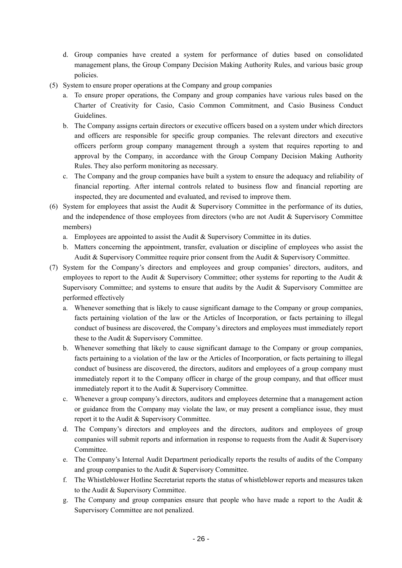- d. Group companies have created a system for performance of duties based on consolidated management plans, the Group Company Decision Making Authority Rules, and various basic group policies.
- (5) System to ensure proper operations at the Company and group companies
	- a. To ensure proper operations, the Company and group companies have various rules based on the Charter of Creativity for Casio, Casio Common Commitment, and Casio Business Conduct Guidelines.
	- b. The Company assigns certain directors or executive officers based on a system under which directors and officers are responsible for specific group companies. The relevant directors and executive officers perform group company management through a system that requires reporting to and approval by the Company, in accordance with the Group Company Decision Making Authority Rules. They also perform monitoring as necessary.
	- c. The Company and the group companies have built a system to ensure the adequacy and reliability of financial reporting. After internal controls related to business flow and financial reporting are inspected, they are documented and evaluated, and revised to improve them.
- (6) System for employees that assist the Audit & Supervisory Committee in the performance of its duties, and the independence of those employees from directors (who are not Audit & Supervisory Committee members)
	- a. Employees are appointed to assist the Audit & Supervisory Committee in its duties.
	- b. Matters concerning the appointment, transfer, evaluation or discipline of employees who assist the Audit & Supervisory Committee require prior consent from the Audit & Supervisory Committee.
- (7) System for the Company's directors and employees and group companies' directors, auditors, and employees to report to the Audit & Supervisory Committee; other systems for reporting to the Audit & Supervisory Committee; and systems to ensure that audits by the Audit & Supervisory Committee are performed effectively
	- a. Whenever something that is likely to cause significant damage to the Company or group companies, facts pertaining violation of the law or the Articles of Incorporation, or facts pertaining to illegal conduct of business are discovered, the Company's directors and employees must immediately report these to the Audit & Supervisory Committee.
	- b. Whenever something that likely to cause significant damage to the Company or group companies, facts pertaining to a violation of the law or the Articles of Incorporation, or facts pertaining to illegal conduct of business are discovered, the directors, auditors and employees of a group company must immediately report it to the Company officer in charge of the group company, and that officer must immediately report it to the Audit & Supervisory Committee.
	- c. Whenever a group company's directors, auditors and employees determine that a management action or guidance from the Company may violate the law, or may present a compliance issue, they must report it to the Audit & Supervisory Committee.
	- d. The Company's directors and employees and the directors, auditors and employees of group companies will submit reports and information in response to requests from the Audit & Supervisory Committee.
	- e. The Company's Internal Audit Department periodically reports the results of audits of the Company and group companies to the Audit & Supervisory Committee.
	- f. The Whistleblower Hotline Secretariat reports the status of whistleblower reports and measures taken to the Audit & Supervisory Committee.
	- g. The Company and group companies ensure that people who have made a report to the Audit & Supervisory Committee are not penalized.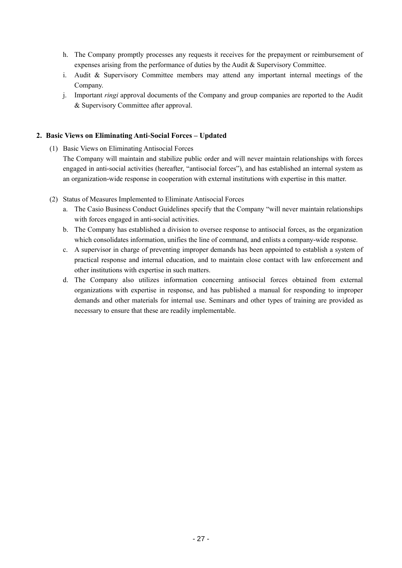- h. The Company promptly processes any requests it receives for the prepayment or reimbursement of expenses arising from the performance of duties by the Audit & Supervisory Committee.
- i. Audit & Supervisory Committee members may attend any important internal meetings of the Company.
- j. Important *ringi* approval documents of the Company and group companies are reported to the Audit & Supervisory Committee after approval.

### **2. Basic Views on Eliminating Anti-Social Forces – Updated**

- (1) Basic Views on Eliminating Antisocial Forces The Company will maintain and stabilize public order and will never maintain relationships with forces engaged in anti-social activities (hereafter, "antisocial forces"), and has established an internal system as an organization-wide response in cooperation with external institutions with expertise in this matter.
- (2) Status of Measures Implemented to Eliminate Antisocial Forces
	- a. The Casio Business Conduct Guidelines specify that the Company "will never maintain relationships with forces engaged in anti-social activities.
	- b. The Company has established a division to oversee response to antisocial forces, as the organization which consolidates information, unifies the line of command, and enlists a company-wide response.
	- c. A supervisor in charge of preventing improper demands has been appointed to establish a system of practical response and internal education, and to maintain close contact with law enforcement and other institutions with expertise in such matters.
	- d. The Company also utilizes information concerning antisocial forces obtained from external organizations with expertise in response, and has published a manual for responding to improper demands and other materials for internal use. Seminars and other types of training are provided as necessary to ensure that these are readily implementable.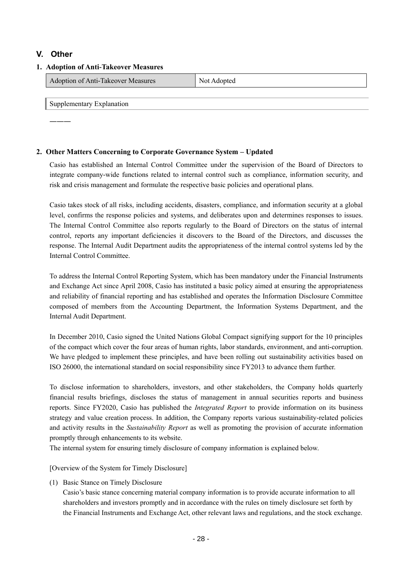## **V. Other**

| 1. Adoption of Anti-Takeover Measures |                                    |             |
|---------------------------------------|------------------------------------|-------------|
|                                       | Adoption of Anti-Takeover Measures | Not Adopted |
|                                       |                                    |             |
|                                       | Supplementary Explanation          |             |

―――

### **2. Other Matters Concerning to Corporate Governance System – Updated**

Casio has established an Internal Control Committee under the supervision of the Board of Directors to integrate company-wide functions related to internal control such as compliance, information security, and risk and crisis management and formulate the respective basic policies and operational plans.

Casio takes stock of all risks, including accidents, disasters, compliance, and information security at a global level, confirms the response policies and systems, and deliberates upon and determines responses to issues. The Internal Control Committee also reports regularly to the Board of Directors on the status of internal control, reports any important deficiencies it discovers to the Board of the Directors, and discusses the response. The Internal Audit Department audits the appropriateness of the internal control systems led by the Internal Control Committee.

To address the Internal Control Reporting System, which has been mandatory under the Financial Instruments and Exchange Act since April 2008, Casio has instituted a basic policy aimed at ensuring the appropriateness and reliability of financial reporting and has established and operates the Information Disclosure Committee composed of members from the Accounting Department, the Information Systems Department, and the Internal Audit Department.

In December 2010, Casio signed the United Nations Global Compact signifying support for the 10 principles of the compact which cover the four areas of human rights, labor standards, environment, and anti-corruption. We have pledged to implement these principles, and have been rolling out sustainability activities based on ISO 26000, the international standard on social responsibility since FY2013 to advance them further.

To disclose information to shareholders, investors, and other stakeholders, the Company holds quarterly financial results briefings, discloses the status of management in annual securities reports and business reports. Since FY2020, Casio has published the *Integrated Report* to provide information on its business strategy and value creation process. In addition, the Company reports various sustainability-related policies and activity results in the *Sustainability Report* as well as promoting the provision of accurate information promptly through enhancements to its website.

The internal system for ensuring timely disclosure of company information is explained below.

[Overview of the System for Timely Disclosure]

(1) Basic Stance on Timely Disclosure

Casio's basic stance concerning material company information is to provide accurate information to all shareholders and investors promptly and in accordance with the rules on timely disclosure set forth by the Financial Instruments and Exchange Act, other relevant laws and regulations, and the stock exchange.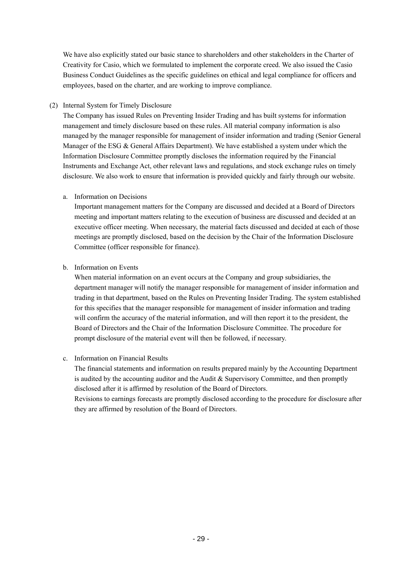We have also explicitly stated our basic stance to shareholders and other stakeholders in the Charter of Creativity for Casio, which we formulated to implement the corporate creed. We also issued the Casio Business Conduct Guidelines as the specific guidelines on ethical and legal compliance for officers and employees, based on the charter, and are working to improve compliance.

### (2) Internal System for Timely Disclosure

The Company has issued Rules on Preventing Insider Trading and has built systems for information management and timely disclosure based on these rules. All material company information is also managed by the manager responsible for management of insider information and trading (Senior General Manager of the ESG & General Affairs Department). We have established a system under which the Information Disclosure Committee promptly discloses the information required by the Financial Instruments and Exchange Act, other relevant laws and regulations, and stock exchange rules on timely disclosure. We also work to ensure that information is provided quickly and fairly through our website.

### a. Information on Decisions

Important management matters for the Company are discussed and decided at a Board of Directors meeting and important matters relating to the execution of business are discussed and decided at an executive officer meeting. When necessary, the material facts discussed and decided at each of those meetings are promptly disclosed, based on the decision by the Chair of the Information Disclosure Committee (officer responsible for finance).

### b. Information on Events

When material information on an event occurs at the Company and group subsidiaries, the department manager will notify the manager responsible for management of insider information and trading in that department, based on the Rules on Preventing Insider Trading. The system established for this specifies that the manager responsible for management of insider information and trading will confirm the accuracy of the material information, and will then report it to the president, the Board of Directors and the Chair of the Information Disclosure Committee. The procedure for prompt disclosure of the material event will then be followed, if necessary.

### c. Information on Financial Results

The financial statements and information on results prepared mainly by the Accounting Department is audited by the accounting auditor and the Audit  $\&$  Supervisory Committee, and then promptly disclosed after it is affirmed by resolution of the Board of Directors. Revisions to earnings forecasts are promptly disclosed according to the procedure for disclosure after

they are affirmed by resolution of the Board of Directors.